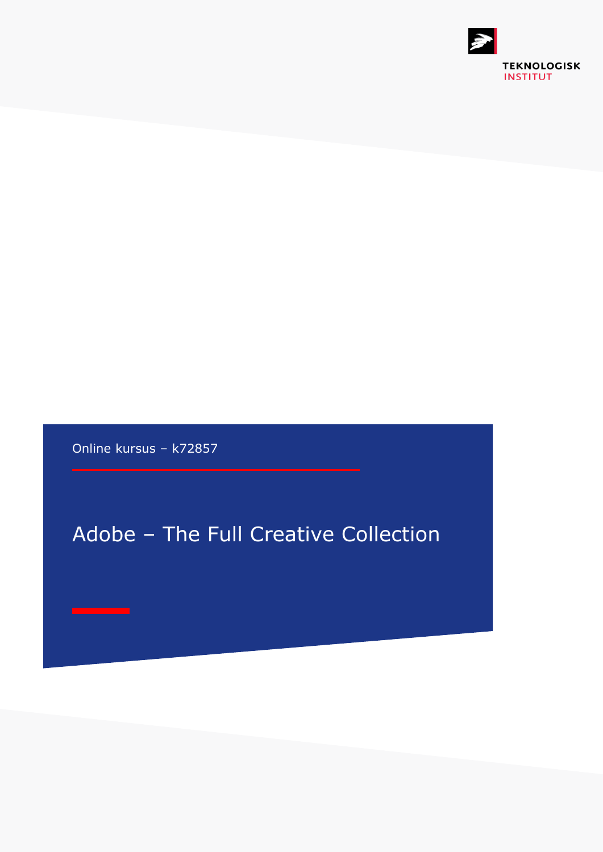

Online kursus – k72857

# Adobe – The Full Creative Collection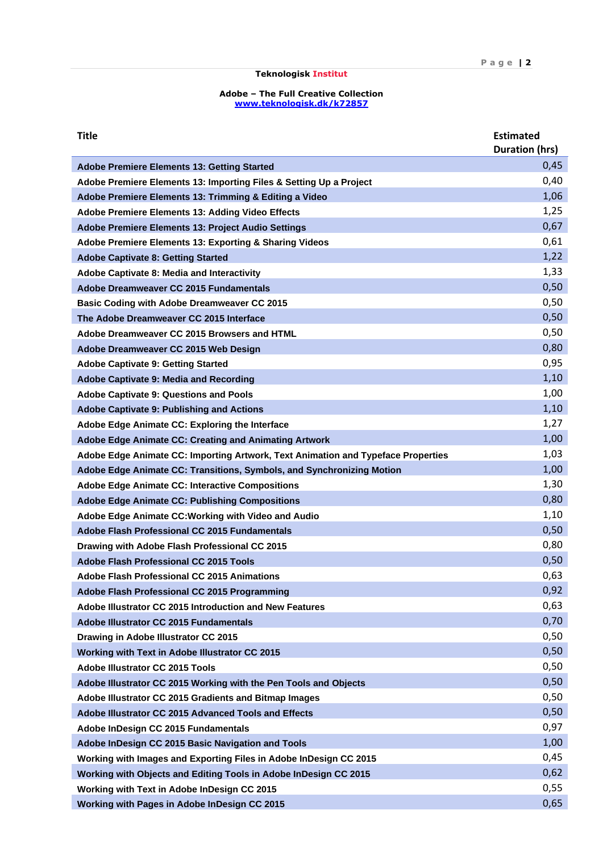## **Teknologisk Institut**

#### **Adobe – The Full Creative Collection [www.teknologisk.dk/k7](http://www.teknologisk.dk/k)2857**

| <b>Title</b>                                                                     | <b>Estimated</b><br><b>Duration (hrs)</b> |
|----------------------------------------------------------------------------------|-------------------------------------------|
| <b>Adobe Premiere Elements 13: Getting Started</b>                               | 0,45                                      |
| Adobe Premiere Elements 13: Importing Files & Setting Up a Project               | 0,40                                      |
| Adobe Premiere Elements 13: Trimming & Editing a Video                           | 1,06                                      |
| Adobe Premiere Elements 13: Adding Video Effects                                 | 1,25                                      |
| <b>Adobe Premiere Elements 13: Project Audio Settings</b>                        | 0,67                                      |
| Adobe Premiere Elements 13: Exporting & Sharing Videos                           | 0,61                                      |
| <b>Adobe Captivate 8: Getting Started</b>                                        | 1,22                                      |
| Adobe Captivate 8: Media and Interactivity                                       | 1,33                                      |
| Adobe Dreamweaver CC 2015 Fundamentals                                           | 0,50                                      |
| <b>Basic Coding with Adobe Dreamweaver CC 2015</b>                               | 0,50                                      |
| The Adobe Dreamweaver CC 2015 Interface                                          | 0,50                                      |
| Adobe Dreamweaver CC 2015 Browsers and HTML                                      | 0,50                                      |
| Adobe Dreamweaver CC 2015 Web Design                                             | 0,80                                      |
| <b>Adobe Captivate 9: Getting Started</b>                                        | 0,95                                      |
| Adobe Captivate 9: Media and Recording                                           | 1,10                                      |
| <b>Adobe Captivate 9: Questions and Pools</b>                                    | 1,00                                      |
| <b>Adobe Captivate 9: Publishing and Actions</b>                                 | 1,10                                      |
| Adobe Edge Animate CC: Exploring the Interface                                   | 1,27                                      |
| <b>Adobe Edge Animate CC: Creating and Animating Artwork</b>                     | 1,00                                      |
| Adobe Edge Animate CC: Importing Artwork, Text Animation and Typeface Properties | 1,03                                      |
| Adobe Edge Animate CC: Transitions, Symbols, and Synchronizing Motion            | 1,00                                      |
| <b>Adobe Edge Animate CC: Interactive Compositions</b>                           | 1,30                                      |
| <b>Adobe Edge Animate CC: Publishing Compositions</b>                            | 0,80                                      |
| Adobe Edge Animate CC: Working with Video and Audio                              | 1,10                                      |
| Adobe Flash Professional CC 2015 Fundamentals                                    | 0,50                                      |
| Drawing with Adobe Flash Professional CC 2015                                    | 0,80                                      |
| Adobe Flash Professional CC 2015 Tools                                           | 0,50                                      |
| <b>Adobe Flash Professional CC 2015 Animations</b>                               | 0,63                                      |
| Adobe Flash Professional CC 2015 Programming                                     | 0,92                                      |
| Adobe Illustrator CC 2015 Introduction and New Features                          | 0,63                                      |
| <b>Adobe Illustrator CC 2015 Fundamentals</b>                                    | 0,70                                      |
| Drawing in Adobe Illustrator CC 2015                                             | 0,50                                      |
| Working with Text in Adobe Illustrator CC 2015                                   | 0,50                                      |
| <b>Adobe Illustrator CC 2015 Tools</b>                                           | 0,50                                      |
| Adobe Illustrator CC 2015 Working with the Pen Tools and Objects                 | 0,50                                      |
| Adobe Illustrator CC 2015 Gradients and Bitmap Images                            | 0,50                                      |
| Adobe Illustrator CC 2015 Advanced Tools and Effects                             | 0,50                                      |
| Adobe InDesign CC 2015 Fundamentals                                              | 0,97<br>1,00                              |
| Adobe InDesign CC 2015 Basic Navigation and Tools                                | 0,45                                      |
| Working with Images and Exporting Files in Adobe InDesign CC 2015                | 0,62                                      |
| Working with Objects and Editing Tools in Adobe InDesign CC 2015                 | 0,55                                      |
| Working with Text in Adobe InDesign CC 2015                                      | 0,65                                      |
| Working with Pages in Adobe InDesign CC 2015                                     |                                           |